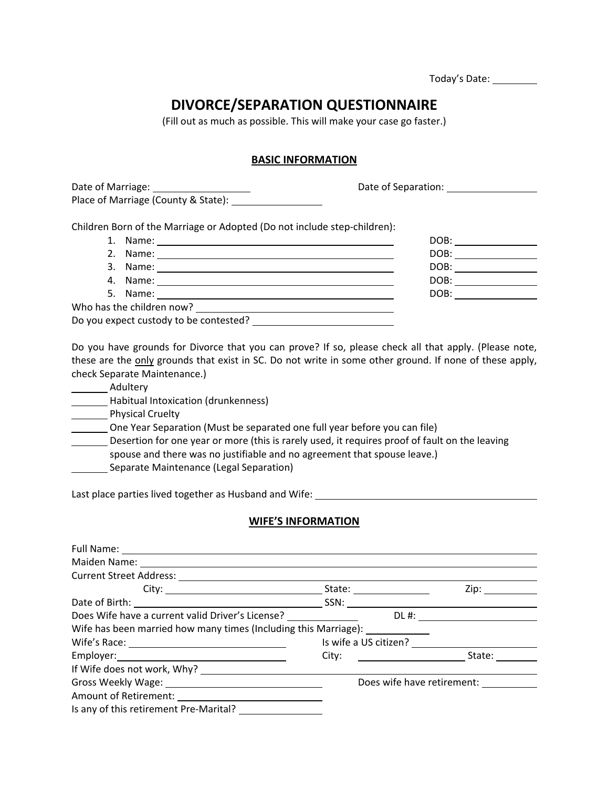| Today's Date: |  |
|---------------|--|
|---------------|--|

# **DIVORCE/SEPARATION QUESTIONNAIRE**

(Fill out as much as possible. This will make your case go faster.)

### **BASIC INFORMATION**

Date of Marriage:  $\qquad \qquad$  Date of Separation: Place of Marriage (County & State):

Children Born of the Marriage or Adopted (Do not include step‐children):

|                                                                                                                | DOB:                             |
|----------------------------------------------------------------------------------------------------------------|----------------------------------|
| Name:<br>2.                                                                                                    | DOB:                             |
| 3.                                                                                                             | DOB:<br>$\overline{\phantom{a}}$ |
| 4. Name: 2008 . 2008 . 2009 . 2009 . 2009 . 2009 . 2009 . 2009 . 2009 . 2009 . 2009 . 2009 . 2009 . 2009 . 200 | DOB:                             |
|                                                                                                                | DOB: _________                   |
| Who has the children now?                                                                                      |                                  |
| Do you expect custody to be contested?                                                                         |                                  |

Do you have grounds for Divorce that you can prove? If so, please check all that apply. (Please note, these are the only grounds that exist in SC. Do not write in some other ground. If none of these apply, check Separate Maintenance.)

- \_\_\_\_\_\_\_\_\_ Adultery
- Habitual Intoxication (drunkenness)

**NALLET** Physical Cruelty

One Year Separation (Must be separated one full year before you can file)

Desertion for one year or more (this is rarely used, it requires proof of fault on the leaving spouse and there was no justifiable and no agreement that spouse leave.)

Separate Maintenance (Legal Separation)

Last place parties lived together as Husband and Wife:

#### **WIFE'S INFORMATION**

| Full Name: 1999 Contract Contract Contract Contract Contract Contract Contract Contract Contract Contract Contract Contract Contract Contract Contract Contract Contract Contract Contract Contract Contract Contract Contract |                            |
|--------------------------------------------------------------------------------------------------------------------------------------------------------------------------------------------------------------------------------|----------------------------|
| Maiden Name: 1988 Maiden Name: 1988 Maiden Name: 1988 Maintenant Maria Communication Maintenant Maintenant Main                                                                                                                |                            |
|                                                                                                                                                                                                                                |                            |
|                                                                                                                                                                                                                                |                            |
|                                                                                                                                                                                                                                |                            |
| Does Wife have a current valid Driver's License? _______________________________                                                                                                                                               | $DL\#:$                    |
| Wife has been married how many times (Including this Marriage):                                                                                                                                                                |                            |
|                                                                                                                                                                                                                                |                            |
|                                                                                                                                                                                                                                |                            |
|                                                                                                                                                                                                                                |                            |
|                                                                                                                                                                                                                                | Does wife have retirement: |
|                                                                                                                                                                                                                                |                            |
| Is any of this retirement Pre-Marital?                                                                                                                                                                                         |                            |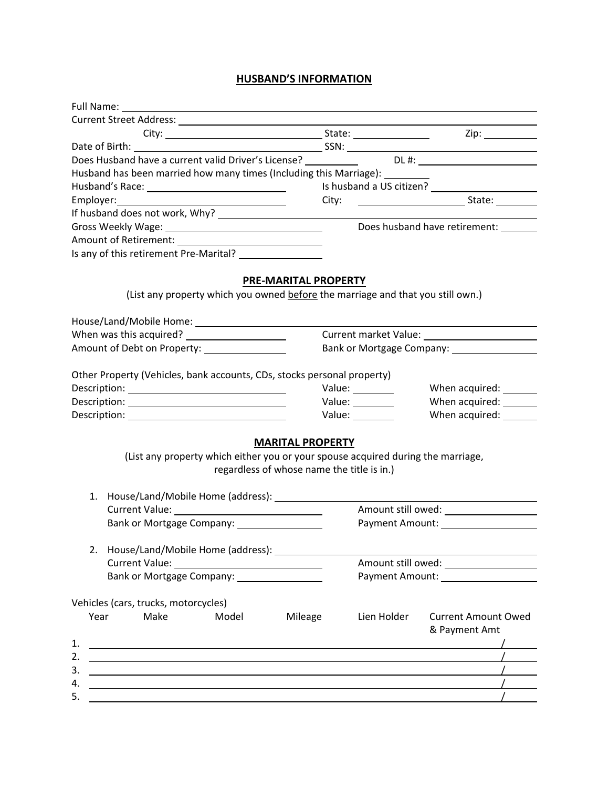## **HUSBAND'S INFORMATION**

| Full Name:                                                                                                                                                                                                                     |                                                                       |                                                             |  |
|--------------------------------------------------------------------------------------------------------------------------------------------------------------------------------------------------------------------------------|-----------------------------------------------------------------------|-------------------------------------------------------------|--|
|                                                                                                                                                                                                                                |                                                                       |                                                             |  |
|                                                                                                                                                                                                                                |                                                                       |                                                             |  |
|                                                                                                                                                                                                                                |                                                                       |                                                             |  |
|                                                                                                                                                                                                                                |                                                                       |                                                             |  |
| Husband has been married how many times (Including this Marriage): ________                                                                                                                                                    |                                                                       |                                                             |  |
|                                                                                                                                                                                                                                |                                                                       |                                                             |  |
| Employer: Note and the series of the series of the series of the series of the series of the series of the series of the series of the series of the series of the series of the series of the series of the series of the ser |                                                                       |                                                             |  |
|                                                                                                                                                                                                                                |                                                                       |                                                             |  |
|                                                                                                                                                                                                                                |                                                                       | Does husband have retirement:                               |  |
|                                                                                                                                                                                                                                |                                                                       |                                                             |  |
|                                                                                                                                                                                                                                |                                                                       |                                                             |  |
| (List any property which you owned before the marriage and that you still own.)                                                                                                                                                | <b>PRE-MARITAL PROPERTY</b>                                           |                                                             |  |
|                                                                                                                                                                                                                                |                                                                       |                                                             |  |
|                                                                                                                                                                                                                                |                                                                       |                                                             |  |
| Amount of Debt on Property: ________________                                                                                                                                                                                   |                                                                       |                                                             |  |
|                                                                                                                                                                                                                                |                                                                       |                                                             |  |
| Other Property (Vehicles, bank accounts, CDs, stocks personal property)                                                                                                                                                        |                                                                       |                                                             |  |
|                                                                                                                                                                                                                                | Value: _______                                                        | When acquired: _______                                      |  |
|                                                                                                                                                                                                                                | Value: ________                                                       | When acquired: _______                                      |  |
|                                                                                                                                                                                                                                | Value: $\frac{1}{\sqrt{1-\frac{1}{2}}\cdot\frac{1}{2}}$               | When acquired: _______                                      |  |
| (List any property which either you or your spouse acquired during the marriage,                                                                                                                                               | <b>MARITAL PROPERTY</b><br>regardless of whose name the title is in.) |                                                             |  |
|                                                                                                                                                                                                                                |                                                                       |                                                             |  |
|                                                                                                                                                                                                                                |                                                                       |                                                             |  |
|                                                                                                                                                                                                                                |                                                                       | Payment Amount: Note that the payment Amount:               |  |
| Bank or Mortgage Company: 2008                                                                                                                                                                                                 |                                                                       |                                                             |  |
| 2. House/Land/Mobile Home (address): _________                                                                                                                                                                                 |                                                                       | the control of the control of the control of the control of |  |
|                                                                                                                                                                                                                                |                                                                       | Amount still owed: __________________                       |  |
| Bank or Mortgage Company: ___________________                                                                                                                                                                                  |                                                                       |                                                             |  |
|                                                                                                                                                                                                                                |                                                                       |                                                             |  |
| Vehicles (cars, trucks, motorcycles)                                                                                                                                                                                           |                                                                       |                                                             |  |
| Year<br>Make<br>Model                                                                                                                                                                                                          | Mileage<br>Lien Holder                                                | <b>Current Amount Owed</b><br>& Payment Amt                 |  |
| 1.<br><u> 1989 - Johann Stoff, deutscher Stoffen und der Stoffen und der Stoffen und der Stoffen und der Stoffen und de</u>                                                                                                    |                                                                       |                                                             |  |
| 2.                                                                                                                                                                                                                             |                                                                       |                                                             |  |
| 3.                                                                                                                                                                                                                             |                                                                       | $\sqrt{2}$                                                  |  |
|                                                                                                                                                                                                                                |                                                                       |                                                             |  |
| 4.                                                                                                                                                                                                                             |                                                                       |                                                             |  |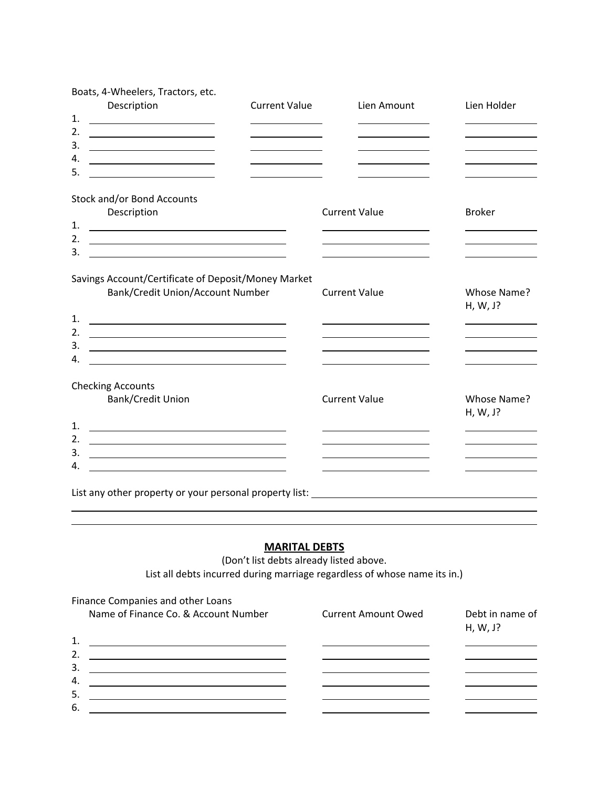| Boats, 4-Wheelers, Tractors, etc.                                                                                                                                                                                                          |                                                                                                                                                                              |                                                                                   |                                              |
|--------------------------------------------------------------------------------------------------------------------------------------------------------------------------------------------------------------------------------------------|------------------------------------------------------------------------------------------------------------------------------------------------------------------------------|-----------------------------------------------------------------------------------|----------------------------------------------|
| Description                                                                                                                                                                                                                                | <b>Current Value</b>                                                                                                                                                         | Lien Amount                                                                       | Lien Holder                                  |
| 1.<br>2.                                                                                                                                                                                                                                   |                                                                                                                                                                              |                                                                                   |                                              |
| <u> 2000 - Andrea Albert III, poet e posterior de la provincia de la provincia de la provincia de la provincia de</u><br>3.                                                                                                                |                                                                                                                                                                              |                                                                                   | the control of the control of the control of |
| 4.                                                                                                                                                                                                                                         |                                                                                                                                                                              |                                                                                   |                                              |
| 5.                                                                                                                                                                                                                                         | the control of the control of the control of                                                                                                                                 | the contract of the contract of the                                               |                                              |
| <u> 1980 - Johann Barbara, martin a</u>                                                                                                                                                                                                    |                                                                                                                                                                              |                                                                                   |                                              |
| Stock and/or Bond Accounts                                                                                                                                                                                                                 |                                                                                                                                                                              |                                                                                   |                                              |
| Description                                                                                                                                                                                                                                |                                                                                                                                                                              | <b>Current Value</b>                                                              | <b>Broker</b>                                |
| 1.<br><u> 1989 - Johann Harry Harry Harry Harry Harry Harry Harry Harry Harry Harry Harry Harry Harry Harry Harry Harry Harry Harry Harry Harry Harry Harry Harry Harry Harry Harry Harry Harry Harry Harry Harry Harry Harry Harry Ha</u> |                                                                                                                                                                              |                                                                                   |                                              |
| 2. $\qquad \qquad$                                                                                                                                                                                                                         |                                                                                                                                                                              | <u> 1980 - Andrea Andrew Maria (b. 1980)</u>                                      |                                              |
| 3.<br><u> 1989 - Johann Barn, mars and de Branch Barn, mars and de Branch Barn, mars and de Branch Barn, mars and de Br</u>                                                                                                                |                                                                                                                                                                              | <u> 1989 - Johann Stoff, Amerikaansk politiker (</u>                              |                                              |
| Bank/Credit Union/Account Number<br>1.<br><u> Alexandria de la contrada de la contrada de la contrada de la contrada de la contrada de la contrada de la c</u><br>2.<br><u> 1989 - Johann Stoff, amerikansk politiker (</u><br>3.<br>4.    | Savings Account/Certificate of Deposit/Money Market<br><u> 1980 - Johann Barbara, martin amerikan basar dan berasal dan berasal dalam basar dalam basar dalam basar dala</u> | <b>Current Value</b><br><u> 1989 - Johann Barnett, fransk politiker (d. 1989)</u> | Whose Name?<br>H, W, J?                      |
| <b>Checking Accounts</b>                                                                                                                                                                                                                   |                                                                                                                                                                              |                                                                                   |                                              |
| <b>Bank/Credit Union</b>                                                                                                                                                                                                                   |                                                                                                                                                                              | <b>Current Value</b>                                                              | Whose Name?<br>H, W, J?                      |
| 1.<br><u> 2000 - Andrea Andrew Maria (h. 18</u>                                                                                                                                                                                            |                                                                                                                                                                              |                                                                                   |                                              |
| 2.<br><u> 1989 - Johann Harry Harry Harry Harry Harry Harry Harry Harry Harry Harry Harry Harry Harry Harry Harry Harry</u>                                                                                                                |                                                                                                                                                                              |                                                                                   | the control of the control of the control of |
| 3.                                                                                                                                                                                                                                         | <u> 1989 - Johann Barbara, martin amerikan basar dan berasal dalam basar dalam basar dalam basar dalam basar dala</u>                                                        |                                                                                   |                                              |
| 4.                                                                                                                                                                                                                                         | <u> 1989 - Johann Stein, marwolaethau a bhann an t-Amhair an t-Amhair an t-Amhair an t-Amhair an t-Amhair an t-A</u>                                                         |                                                                                   |                                              |
|                                                                                                                                                                                                                                            |                                                                                                                                                                              |                                                                                   |                                              |
|                                                                                                                                                                                                                                            |                                                                                                                                                                              |                                                                                   |                                              |
|                                                                                                                                                                                                                                            |                                                                                                                                                                              |                                                                                   |                                              |

### **MARITAL DEBTS**

(Don't list debts already listed above. List all debts incurred during marriage regardless of whose name its in.)

| Finance Companies and other Loans    |                            |                             |
|--------------------------------------|----------------------------|-----------------------------|
| Name of Finance Co. & Account Number | <b>Current Amount Owed</b> | Debt in name of<br>H, W, J? |
| 1.                                   |                            |                             |
| 2.                                   |                            |                             |
| 3.                                   |                            |                             |
| 4.                                   |                            |                             |
| 5.                                   |                            |                             |
| 6.                                   |                            |                             |
|                                      |                            |                             |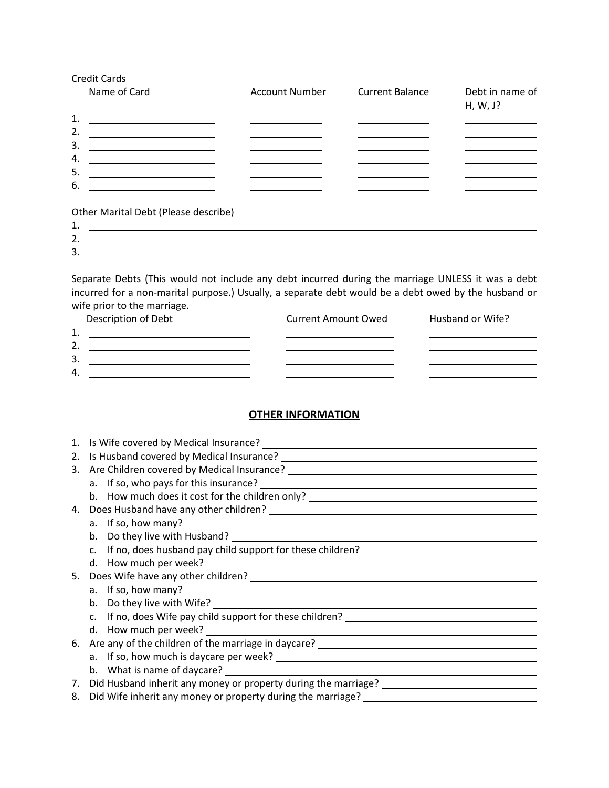| Credit Cards<br>Name of Card                                                                                                                                                                                                               | <b>Account Number</b> | <b>Current Balance</b> | Debt in name of<br>H, W, J? |
|--------------------------------------------------------------------------------------------------------------------------------------------------------------------------------------------------------------------------------------------|-----------------------|------------------------|-----------------------------|
| 1.<br><u> 1989 - Johann Stoff, Amerikaansk politiker (</u>                                                                                                                                                                                 |                       |                        |                             |
| 2.<br><u> 1989 - Johann Barnett, fransk politik (d. 1989)</u>                                                                                                                                                                              |                       |                        |                             |
| 3.<br><u> 1989 - Johann Barbara, martxa alemaniar a</u>                                                                                                                                                                                    |                       |                        |                             |
| 4.<br><u> 1980 - Johann Barbara, martin a bhann an t-Alban an t-Alban an t-Alban an t-Alban an t-Alban an t-Alban an t-Alban an t-Alban an t-Alban an t-Alban an t-Alban an t-Alban an t-Alban an t-Alban an t-Alban an t-Alban an t-A</u> |                       |                        |                             |
| 5.<br><u> 1989 - Johann Barn, mars eta bainar eta baina eta baina eta baina eta baina eta baina eta baina eta baina e</u>                                                                                                                  |                       |                        |                             |
| 6.                                                                                                                                                                                                                                         |                       |                        |                             |
| Other Marital Debt (Please describe)                                                                                                                                                                                                       |                       |                        |                             |
| 1.                                                                                                                                                                                                                                         |                       |                        |                             |
| 2.                                                                                                                                                                                                                                         |                       |                        |                             |
| 3.                                                                                                                                                                                                                                         |                       |                        |                             |

Separate Debts (This would not include any debt incurred during the marriage UNLESS it was a debt incurred for a non‐marital purpose.) Usually, a separate debt would be a debt owed by the husband or wife prior to the marriage.

| Description of Debt | <b>Current Amount Owed</b> | Husband or Wife? |
|---------------------|----------------------------|------------------|
| ◢<br>┻.             |                            |                  |
| <u>.</u>            |                            |                  |
| 3.                  |                            |                  |
| $\overline{4}$      |                            |                  |

### **OTHER INFORMATION**

| 1. | Is Wife covered by Medical Insurance?                                                                                                                                                                                            |
|----|----------------------------------------------------------------------------------------------------------------------------------------------------------------------------------------------------------------------------------|
| 2. |                                                                                                                                                                                                                                  |
| 3. |                                                                                                                                                                                                                                  |
|    |                                                                                                                                                                                                                                  |
|    | b. How much does it cost for the children only? ________________________________                                                                                                                                                 |
| 4. |                                                                                                                                                                                                                                  |
|    | a. If so, how many?                                                                                                                                                                                                              |
|    | b.                                                                                                                                                                                                                               |
|    | If no, does husband pay child support for these children? _______________________                                                                                                                                                |
|    |                                                                                                                                                                                                                                  |
| 5. | Does Wife have any other children?<br>Notes that the manufacturer of the manufacturer of the manufacturer of the manufacturer of the manufacturer of the manufacturer of the manufacturer of the manufacturer of the manufacture |
|    |                                                                                                                                                                                                                                  |
|    | Do they live with Wife? Letter and the state of the state of the state of the state of the state of the state o<br>b.                                                                                                            |
|    | If no, does Wife pay child support for these children? _________________________                                                                                                                                                 |
|    |                                                                                                                                                                                                                                  |
| 6. |                                                                                                                                                                                                                                  |
|    |                                                                                                                                                                                                                                  |
|    |                                                                                                                                                                                                                                  |
| 7. | Did Husband inherit any money or property during the marriage? __________________                                                                                                                                                |
| 8. | Did Wife inherit any money or property during the marriage? ____________________                                                                                                                                                 |